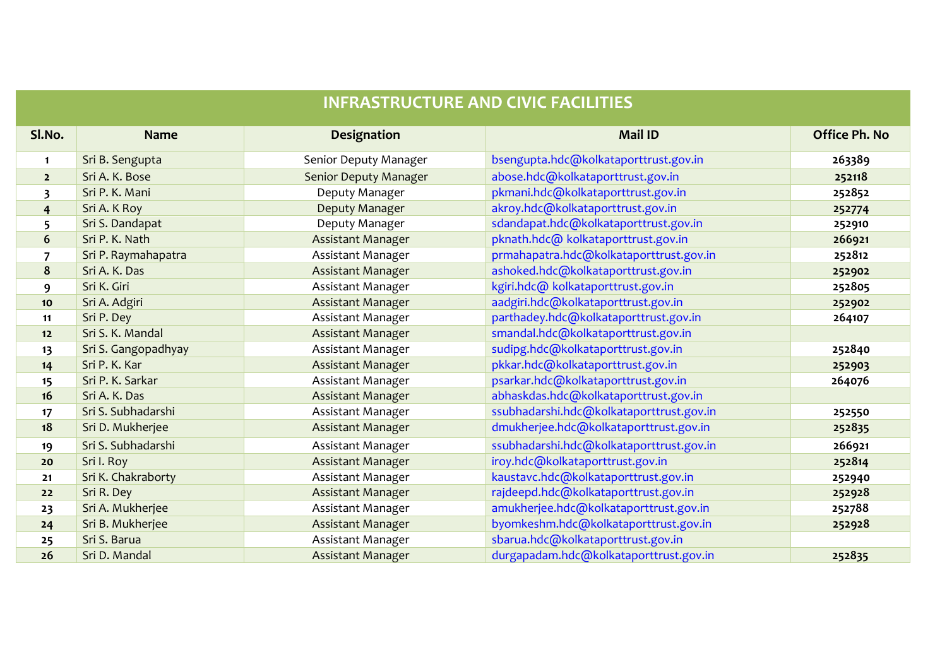| <b>INFRASTRUCTURE AND CIVIC FACILITIES</b> |                     |                              |                                          |                      |  |  |
|--------------------------------------------|---------------------|------------------------------|------------------------------------------|----------------------|--|--|
| SI.No.                                     | <b>Name</b>         | Designation                  | <b>Mail ID</b>                           | <b>Office Ph. No</b> |  |  |
| $\mathbf{1}$                               | Sri B. Sengupta     | Senior Deputy Manager        | bsengupta.hdc@kolkataporttrust.gov.in    | 263389               |  |  |
| 2 <sup>1</sup>                             | Sri A. K. Bose      | <b>Senior Deputy Manager</b> | abose.hdc@kolkataporttrust.gov.in        | 252118               |  |  |
| 3                                          | Sri P. K. Mani      | Deputy Manager               | pkmani.hdc@kolkataporttrust.gov.in       | 252852               |  |  |
| $\overline{\mathbf{r}}$                    | Sri A. K Roy        | Deputy Manager               | akroy.hdc@kolkataporttrust.gov.in        | 252774               |  |  |
| 5                                          | Sri S. Dandapat     | Deputy Manager               | sdandapat.hdc@kolkataporttrust.gov.in    | 252910               |  |  |
| 6                                          | Sri P. K. Nath      | <b>Assistant Manager</b>     | pknath.hdc@kolkataporttrust.gov.in       | 266921               |  |  |
| $\overline{7}$                             | Sri P. Raymahapatra | Assistant Manager            | prmahapatra.hdc@kolkataporttrust.gov.in  | 252812               |  |  |
| 8                                          | Sri A. K. Das       | Assistant Manager            | ashoked.hdc@kolkataporttrust.gov.in      | 252902               |  |  |
| 9                                          | Sri K. Giri         | Assistant Manager            | kgiri.hdc@kolkataporttrust.gov.in        | 252805               |  |  |
| 10                                         | Sri A. Adgiri       | Assistant Manager            | aadgiri.hdc@kolkataporttrust.gov.in      | 252902               |  |  |
| 11                                         | Sri P. Dey          | Assistant Manager            | parthadey.hdc@kolkataporttrust.gov.in    | 264107               |  |  |
| 12                                         | Sri S. K. Mandal    | Assistant Manager            | smandal.hdc@kolkataporttrust.gov.in      |                      |  |  |
| 13                                         | Sri S. Gangopadhyay | Assistant Manager            | sudipg.hdc@kolkataporttrust.gov.in       | 252840               |  |  |
| 14                                         | Sri P. K. Kar       | Assistant Manager            | pkkar.hdc@kolkataporttrust.gov.in        | 252903               |  |  |
| 15                                         | Sri P. K. Sarkar    | Assistant Manager            | psarkar.hdc@kolkataporttrust.gov.in      | 264076               |  |  |
| 16                                         | Sri A. K. Das       | Assistant Manager            | abhaskdas.hdc@kolkataporttrust.gov.in    |                      |  |  |
| 17                                         | Sri S. Subhadarshi  | Assistant Manager            | ssubhadarshi.hdc@kolkataporttrust.gov.in | 252550               |  |  |
| 18                                         | Sri D. Mukherjee    | Assistant Manager            | dmukherjee.hdc@kolkataporttrust.gov.in   | 252835               |  |  |
| 19                                         | Sri S. Subhadarshi  | Assistant Manager            | ssubhadarshi.hdc@kolkataporttrust.gov.in | 266921               |  |  |
| 20                                         | Sri I. Roy          | <b>Assistant Manager</b>     | iroy.hdc@kolkataporttrust.gov.in         | 252814               |  |  |
| 21                                         | Sri K. Chakraborty  | Assistant Manager            | kaustavc.hdc@kolkataporttrust.gov.in     | 252940               |  |  |
| 22                                         | Sri R. Dey          | <b>Assistant Manager</b>     | rajdeepd.hdc@kolkataporttrust.gov.in     | 252928               |  |  |
| 23                                         | Sri A. Mukherjee    | Assistant Manager            | amukherjee.hdc@kolkataporttrust.gov.in   | 252788               |  |  |
| 24                                         | Sri B. Mukherjee    | Assistant Manager            | byomkeshm.hdc@kolkataporttrust.gov.in    | 252928               |  |  |
| 25                                         | Sri S. Barua        | Assistant Manager            | sbarua.hdc@kolkataporttrust.gov.in       |                      |  |  |
| 26                                         | Sri D. Mandal       | Assistant Manager            | durgapadam.hdc@kolkataporttrust.gov.in   | 252835               |  |  |